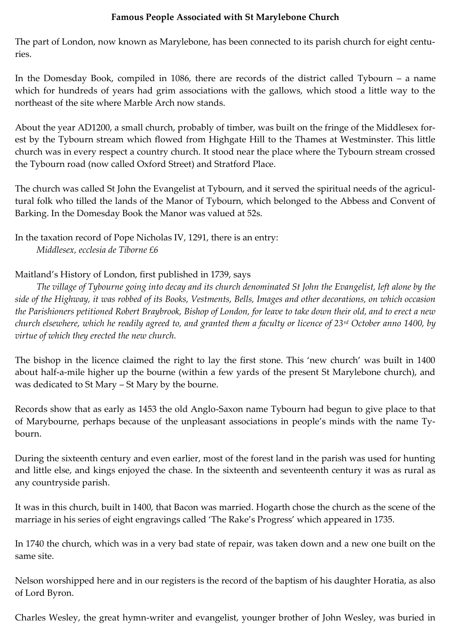## **Famous People Associated with St Marylebone Church**

The part of London, now known as Marylebone, has been connected to its parish church for eight centuries.

In the Domesday Book, compiled in 1086, there are records of the district called Tybourn – a name which for hundreds of years had grim associations with the gallows, which stood a little way to the northeast of the site where Marble Arch now stands.

About the year AD1200, a small church, probably of timber, was built on the fringe of the Middlesex forest by the Tybourn stream which flowed from Highgate Hill to the Thames at Westminster. This little church was in every respect a country church. It stood near the place where the Tybourn stream crossed the Tybourn road (now called Oxford Street) and Stratford Place.

The church was called St John the Evangelist at Tybourn, and it served the spiritual needs of the agricultural folk who tilled the lands of the Manor of Tybourn, which belonged to the Abbess and Convent of Barking. In the Domesday Book the Manor was valued at 52s.

In the taxation record of Pope Nicholas IV, 1291, there is an entry: *Middlesex, ecclesia de Tiborne £6*

Maitland's History of London, first published in 1739, says

*The village of Tybourne going into decay and its church denominated St John the Evangelist, left alone by the side of the Highway, it was robbed of its Books, Vestments, Bells, Images and other decorations, on which occasion the Parishioners petitioned Robert Braybrook, Bishop of London, for leave to take down their old, and to erect a new church elsewhere, which he readily agreed to, and granted them a faculty or licence of 23rd October anno 1400, by virtue of which they erected the new church.*

The bishop in the licence claimed the right to lay the first stone. This 'new church' was built in 1400 about half-a-mile higher up the bourne (within a few yards of the present St Marylebone church), and was dedicated to St Mary – St Mary by the bourne.

Records show that as early as 1453 the old Anglo-Saxon name Tybourn had begun to give place to that of Marybourne, perhaps because of the unpleasant associations in people's minds with the name Tybourn.

During the sixteenth century and even earlier, most of the forest land in the parish was used for hunting and little else, and kings enjoyed the chase. In the sixteenth and seventeenth century it was as rural as any countryside parish.

It was in this church, built in 1400, that Bacon was married. Hogarth chose the church as the scene of the marriage in his series of eight engravings called 'The Rake's Progress' which appeared in 1735.

In 1740 the church, which was in a very bad state of repair, was taken down and a new one built on the same site.

Nelson worshipped here and in our registers is the record of the baptism of his daughter Horatia, as also of Lord Byron.

Charles Wesley, the great hymn-writer and evangelist, younger brother of John Wesley, was buried in